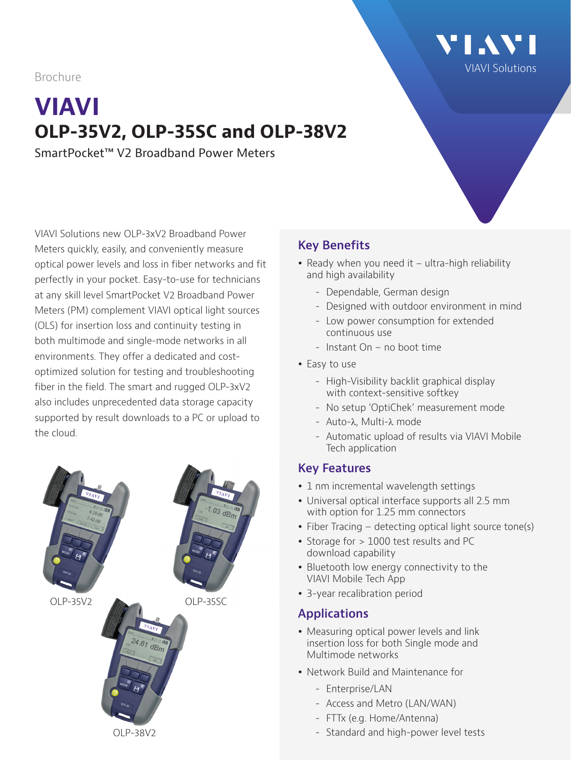Brochure

# **VIAVI OLP-35V2, OLP-35SC and OLP-38V2**

SmartPocket™ V2 Broadband Power Meters

VIAVI Solutions new OLP-3xV2 Broadband Power Meters quickly, easily, and conveniently measure optical power levels and loss in fiber networks and fit perfectly in your pocket. Easy-to-use for technicians at any skill level SmartPocket V2 Broadband Power Meters (PM) complement VIAVI optical light sources (OLS) for insertion loss and continuity testing in both multimode and single-mode networks in all environments. They offer a dedicated and costoptimized solution for testing and troubleshooting fiber in the field. The smart and rugged OLP-3xV2 also includes unprecedented data storage capacity supported by result downloads to a PC or upload to the cloud.



# **Key Benefits**

- Ready when you need it  $-$  ultra-high reliability and high availability
	- Dependable, German design
	- Designed with outdoor environment in mind

[VIAVI Solutions](https://www.viavisolutions.com/en-us)

**\' | .\ \' |** 

- Low power consumption for extended continuous use
- Instant On no boot time
- Easy to use
	- High-Visibility backlit graphical display with context-sensitive softkey
	- No setup 'OptiChek' measurement mode
	- Auto-λ, Multi-λ mode
	- Automatic upload of results via VIAVI Mobile Tech application

### **Key Features**

- 1 nm incremental wavelength settings
- Universal optical interface supports all 2.5 mm with option for 1.25 mm connectors
- Fiber Tracing detecting optical light source tone(s)
- Storage for > 1000 test results and PC download capability
- Bluetooth low energy connectivity to the VIAVI Mobile Tech App
- 3-year recalibration period

# **Applications**

- Measuring optical power levels and link insertion loss for both Single mode and Multimode networks
- Network Build and Maintenance for
	- Enterprise/LAN
	- Access and Metro (LAN/WAN)
	- FTTx (e.g. Home/Antenna)
	- Standard and high-power level tests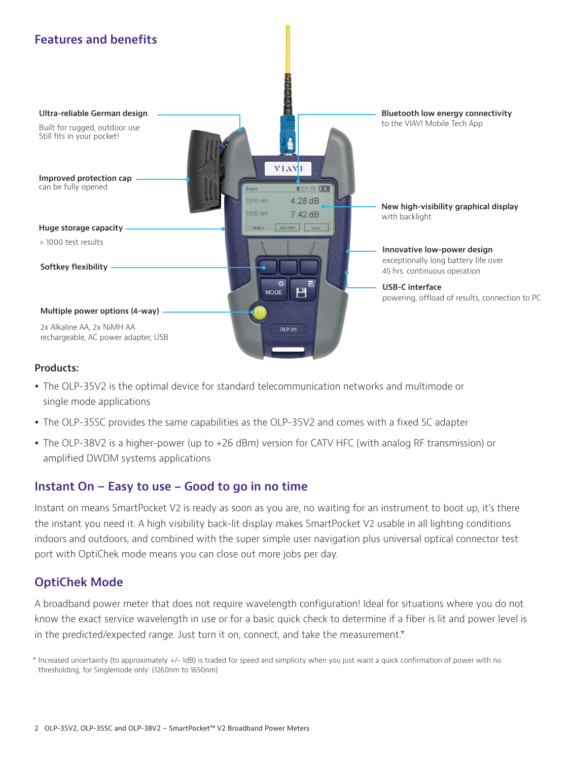

#### **Products:**

- The OLP-35V2 is the optimal device for standard telecommunication networks and multimode or single mode applications
- The OLP-35SC provides the same capabilities as the OLP-35V2 and comes with a fixed SC adapter
- The OLP-38V2 is a higher-power (up to +26 dBm) version for CATV HFC (with analog RF transmission) or amplified DWDM systems applications

#### **Instant On – Easy to use - Good to go in no time**

Instant on means SmartPocket V2 is ready as soon as you are, no waiting for an instrument to boot up, it's there the instant you need it. A high visibility back-lit display makes SmartPocket V2 usable in all lighting conditions indoors and outdoors, and combined with the super simple user navigation plus universal optical connector test port with OptiChek mode means you can close out more jobs per day.

#### **OptiChek Mode**

A broadband power meter that does not require wavelength configuration! Ideal for situations where you do not know the exact service wavelength in use or for a basic quick check to determine if a fiber is lit and power level is in the predicted/expected range. Just turn it on, connect, and take the measurement.\*

\* Increased uncertainty (to approximately +/- 1dB) is traded for speed and simplicity when you just want a quick confirmation of power with no thresholding, for Singlemode only: (1260nm to 1650nm)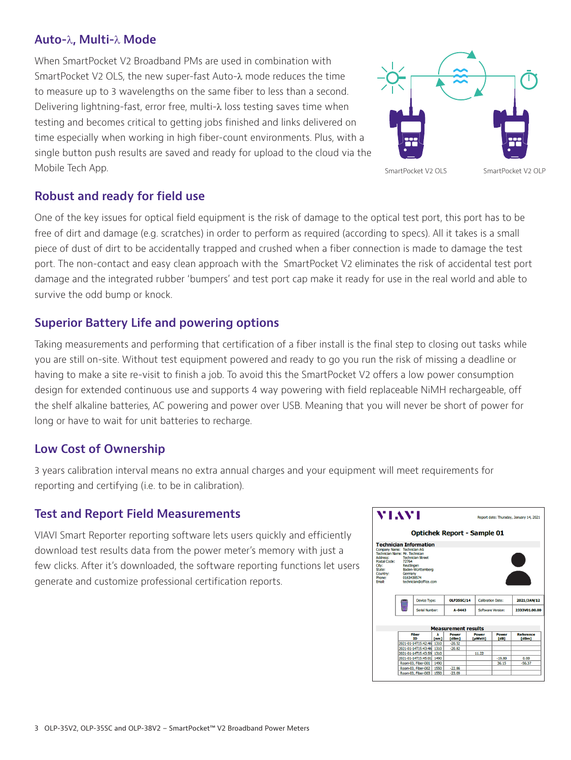#### **Auto-**λ**, Multi-**λ **Mode**

When SmartPocket V2 Broadband PMs are used in combination with SmartPocket V2 OLS, the new super-fast Auto-λ mode reduces the time to measure up to 3 wavelengths on the same fiber to less than a second. Delivering lightning-fast, error free, multi-λ loss testing saves time when testing and becomes critical to getting jobs finished and links delivered on time especially when working in high fiber-count environments. Plus, with a single button push results are saved and ready for upload to the cloud via the Mobile Tech App.



#### **Robust and ready for field use**

One of the key issues for optical field equipment is the risk of damage to the optical test port, this port has to be free of dirt and damage (e.g. scratches) in order to perform as required (according to specs). All it takes is a small piece of dust of dirt to be accidentally trapped and crushed when a fiber connection is made to damage the test port. The non-contact and easy clean approach with the SmartPocket V2 eliminates the risk of accidental test port damage and the integrated rubber 'bumpers' and test port cap make it ready for use in the real world and able to survive the odd bump or knock.

#### **Superior Battery Life and powering options**

Taking measurements and performing that certification of a fiber install is the final step to closing out tasks while you are still on-site. Without test equipment powered and ready to go you run the risk of missing a deadline or having to make a site re-visit to finish a job. To avoid this the SmartPocket V2 offers a low power consumption design for extended continuous use and supports 4 way powering with field replaceable NiMH rechargeable, off the shelf alkaline batteries, AC powering and power over USB. Meaning that you will never be short of power for long or have to wait for unit batteries to recharge.

#### **Low Cost of Ownership**

3 years calibration interval means no extra annual charges and your equipment will meet requirements for reporting and certifying (i.e. to be in calibration).

#### **Test and Report Field Measurements**

VIAVI Smart Reporter reporting software lets users quickly and efficiently download test results data from the power meter's memory with just a few clicks. After it's downloaded, the software reporting functions let users generate and customize professional certification reports.

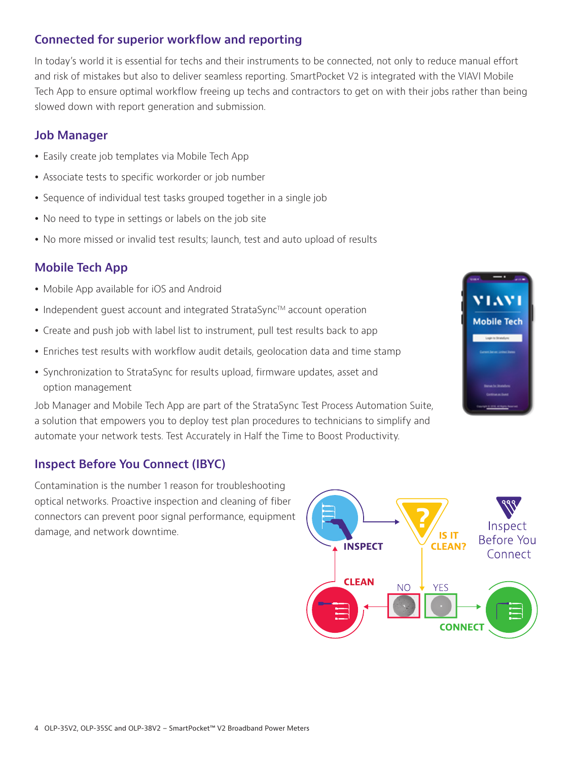### **Connected for superior workflow and reporting**

In today's world it is essential for techs and their instruments to be connected, not only to reduce manual effort and risk of mistakes but also to deliver seamless reporting. SmartPocket V2 is integrated with the VIAVI Mobile Tech App to ensure optimal workflow freeing up techs and contractors to get on with their jobs rather than being slowed down with report generation and submission.

#### **Job Manager**

- Easily create job templates via Mobile Tech App
- Associate tests to specific workorder or job number
- Sequence of individual test tasks grouped together in a single job
- No need to type in settings or labels on the job site
- No more missed or invalid test results; launch, test and auto upload of results

# **Mobile Tech App**

- Mobile App available for iOS and Android
- Independent guest account and integrated StrataSync™ account operation
- Create and push job with label list to instrument, pull test results back to app
- Enriches test results with workflow audit details, geolocation data and time stamp
- Synchronization to StrataSync for results upload, firmware updates, asset and option management

Job Manager and Mobile Tech App are part of the StrataSync Test Process Automation Suite, a solution that empowers you to deploy test plan procedures to technicians to simplify and automate your network tests. Test Accurately in Half the Time to Boost Productivity.

### **Inspect Before You Connect (IBYC)**

Contamination is the number 1 reason for troubleshooting optical networks. Proactive inspection and cleaning of fiber connectors can prevent poor signal performance, equipment damage, and network downtime.